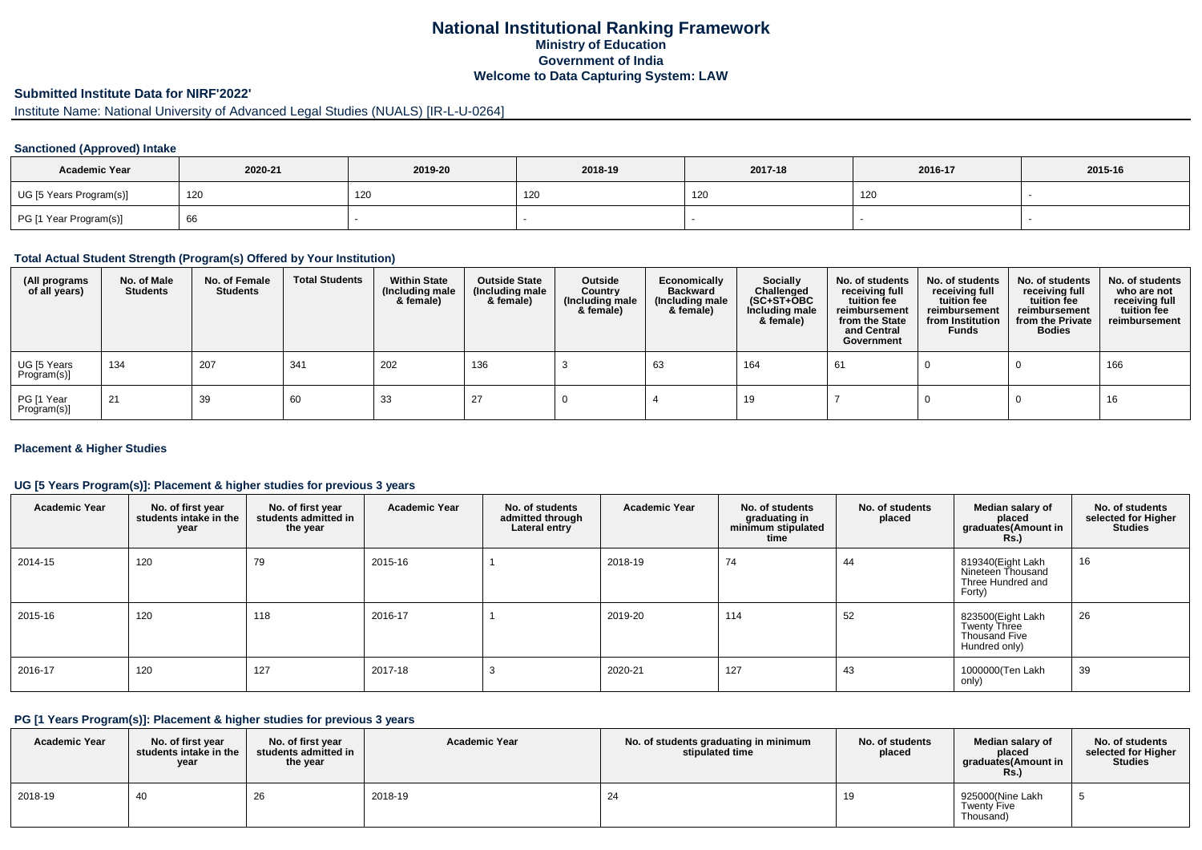# **National Institutional Ranking Framework Ministry of Education Government of India Welcome to Data Capturing System: LAW**

# **Submitted Institute Data for NIRF'2022'**

# Institute Name: National University of Advanced Legal Studies (NUALS) [IR-L-U-0264]

### **Sanctioned (Approved) Intake**

| <b>Academic Year</b>    | 2020-21 | 2019-20 | 2018-19 | 2017-18 | 2016-17 | 2015-16 |
|-------------------------|---------|---------|---------|---------|---------|---------|
| UG [5 Years Program(s)] | 120     | 120     | 120     | 120     | 120     |         |
| PG [1 Year Program(s)]  | 66      |         |         |         |         |         |

#### **Total Actual Student Strength (Program(s) Offered by Your Institution)**

| (All programs<br>of all years) | No. of Male<br><b>Students</b> | No. of Female<br><b>Students</b> | <b>Total Students</b> | <b>Within State</b><br>(Including male<br>& female) | <b>Outside State</b><br>(Including male<br>& female) | Outside<br>Country<br>(Including male<br>& female) | Economically<br><b>Backward</b><br>(Including male<br>& female) | Socially<br>Challenged<br>$(SC+ST+OBC)$<br>Including male<br>& female) | No. of students<br>receiving full<br>tuition fee<br>reimbursement<br>from the State<br>and Central<br>Government | No. of students<br>receiving full<br>tuition fee<br>reimbursement<br>from Institution<br><b>Funds</b> | No. of students<br>receiving full<br>tuition fee<br>reimbursement<br>from the Private<br><b>Bodies</b> | No. of students<br>who are not<br>receiving full<br>tuition fee<br>reimbursement |
|--------------------------------|--------------------------------|----------------------------------|-----------------------|-----------------------------------------------------|------------------------------------------------------|----------------------------------------------------|-----------------------------------------------------------------|------------------------------------------------------------------------|------------------------------------------------------------------------------------------------------------------|-------------------------------------------------------------------------------------------------------|--------------------------------------------------------------------------------------------------------|----------------------------------------------------------------------------------|
| UG [5 Years<br>Program(s)]     | 134                            | 207                              | 341                   | 202                                                 | 136                                                  |                                                    | -63                                                             | 164                                                                    | 61                                                                                                               |                                                                                                       |                                                                                                        | 166                                                                              |
| PG [1 Year<br>Program(s)]      | 21                             | 39                               | 60                    | 33                                                  | 27                                                   |                                                    |                                                                 | 19                                                                     |                                                                                                                  |                                                                                                       |                                                                                                        | 16                                                                               |

### **Placement & Higher Studies**

#### **UG [5 Years Program(s)]: Placement & higher studies for previous 3 years**

| <b>Academic Year</b> | No. of first year<br>students intake in the<br>year | No. of first year<br>students admitted in<br>the year | <b>Academic Year</b> | No. of students<br>admitted through<br>Lateral entry | <b>Academic Year</b> | No. of students<br>graduating in<br>minimum stipulated<br>time | No. of students<br>placed | Median salary of<br>placed<br>graduates(Amount in<br><b>Rs.)</b>           | No. of students<br>selected for Higher<br><b>Studies</b> |
|----------------------|-----------------------------------------------------|-------------------------------------------------------|----------------------|------------------------------------------------------|----------------------|----------------------------------------------------------------|---------------------------|----------------------------------------------------------------------------|----------------------------------------------------------|
| 2014-15              | 120                                                 | 79                                                    | 2015-16              |                                                      | 2018-19              | 74                                                             | 44                        | 819340(Eight Lakh<br>Nineteen Thousand<br>Three Hundred and<br>Forty)      | 16                                                       |
| 2015-16              | 120                                                 | 118                                                   | 2016-17              |                                                      | 2019-20              | 114                                                            | 52                        | 823500(Eight Lakh<br><b>Twenty Three</b><br>Thousand Five<br>Hundred only) | 26                                                       |
| 2016-17              | 120                                                 | 127                                                   | 2017-18              |                                                      | 2020-21              | 127                                                            | 43                        | 1000000(Ten Lakh<br>only)                                                  | 39                                                       |

#### **PG [1 Years Program(s)]: Placement & higher studies for previous 3 years**

| <b>Academic Year</b> | No. of first year<br>students intake in the<br>year | No. of first vear<br>students admitted in<br>the year | Academic Year | No. of students graduating in minimum<br>stipulated time | No. of students<br>placed | Median salary of<br>placed<br>graduates(Amount in<br><b>Rs.</b> ) | No. of students<br>selected for Higher<br><b>Studies</b> |
|----------------------|-----------------------------------------------------|-------------------------------------------------------|---------------|----------------------------------------------------------|---------------------------|-------------------------------------------------------------------|----------------------------------------------------------|
| 2018-19              | 40                                                  | 26                                                    | 2018-19       | -24                                                      |                           | 925000(Nine Lakh<br><b>Twenty Five</b><br>Thousand)               |                                                          |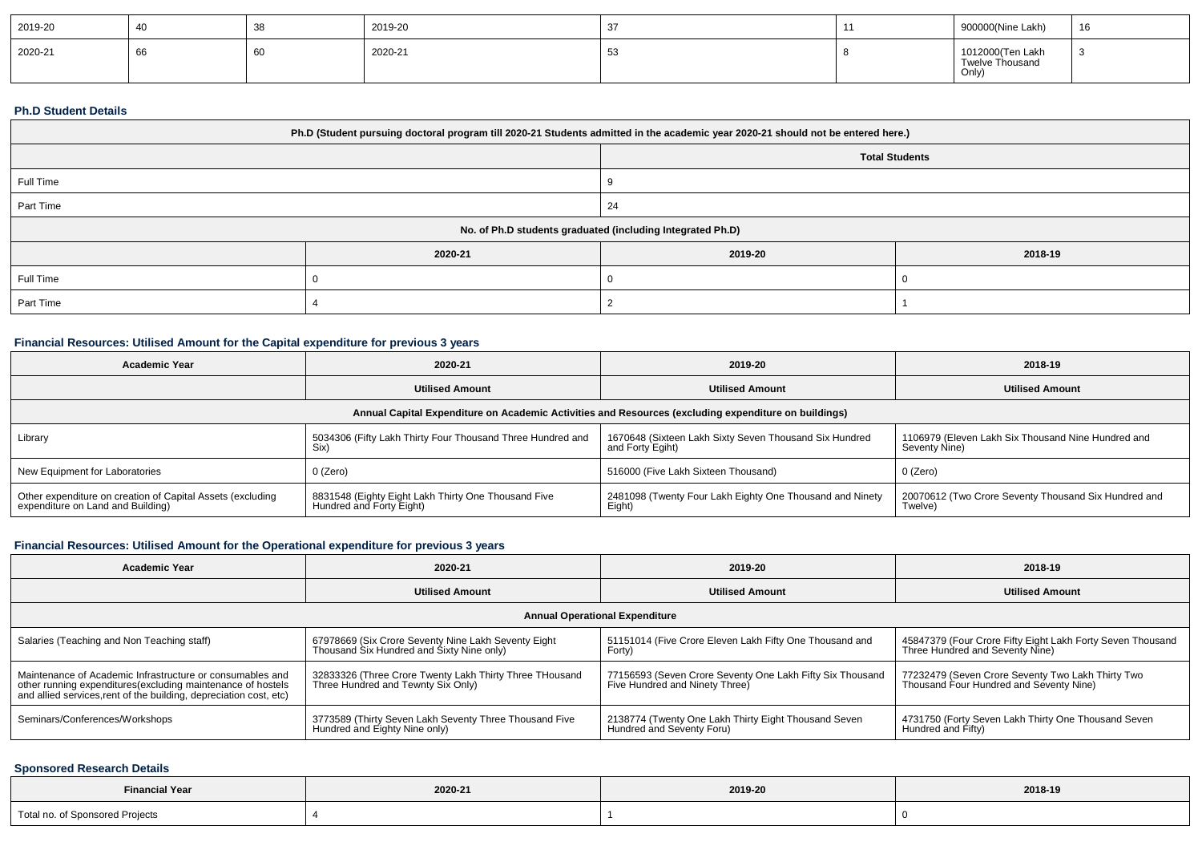| 2019-20 |      | ັບເ  | 2019-20 |  | 900000(Nine Lakh)                            | 16 |
|---------|------|------|---------|--|----------------------------------------------|----|
| 2020-21 | - 66 | - 6C | 2020-21 |  | 1012000(Ten Lakh<br>Twelve Thousand<br>Only, |    |

#### **Ph.D Student Details**

| Ph.D (Student pursuing doctoral program till 2020-21 Students admitted in the academic year 2020-21 should not be entered here.) |         |                       |         |  |  |
|----------------------------------------------------------------------------------------------------------------------------------|---------|-----------------------|---------|--|--|
|                                                                                                                                  |         | <b>Total Students</b> |         |  |  |
| Full Time                                                                                                                        |         |                       |         |  |  |
| Part Time                                                                                                                        |         |                       |         |  |  |
| No. of Ph.D students graduated (including Integrated Ph.D)                                                                       |         |                       |         |  |  |
|                                                                                                                                  | 2020-21 | 2019-20               | 2018-19 |  |  |
| Full Time                                                                                                                        |         |                       |         |  |  |
| Part Time                                                                                                                        |         |                       |         |  |  |

# **Financial Resources: Utilised Amount for the Capital expenditure for previous 3 years**

| <b>Academic Year</b>                                                                                 | 2020-21                                                                         | 2019-20                                                                    | 2018-19                                                             |  |  |  |  |  |
|------------------------------------------------------------------------------------------------------|---------------------------------------------------------------------------------|----------------------------------------------------------------------------|---------------------------------------------------------------------|--|--|--|--|--|
|                                                                                                      | <b>Utilised Amount</b>                                                          | <b>Utilised Amount</b>                                                     | <b>Utilised Amount</b>                                              |  |  |  |  |  |
| Annual Capital Expenditure on Academic Activities and Resources (excluding expenditure on buildings) |                                                                                 |                                                                            |                                                                     |  |  |  |  |  |
| Library                                                                                              | 5034306 (Fifty Lakh Thirty Four Thousand Three Hundred and<br>Six)              | 1670648 (Sixteen Lakh Sixty Seven Thousand Six Hundred<br>and Forty Egiht) | 1106979 (Eleven Lakh Six Thousand Nine Hundred and<br>Seventy Nine) |  |  |  |  |  |
| New Equipment for Laboratories                                                                       | 0 (Zero)                                                                        | 516000 (Five Lakh Sixteen Thousand)                                        | 0 (Zero)                                                            |  |  |  |  |  |
| Other expenditure on creation of Capital Assets (excluding<br>expenditure on Land and Building)      | 8831548 (Eighty Eight Lakh Thirty One Thousand Five<br>Hundred and Forty Eight) | 2481098 (Twenty Four Lakh Eighty One Thousand and Ninety<br>Eight)         | 20070612 (Two Crore Seventy Thousand Six Hundred and<br>Twelve)     |  |  |  |  |  |

# **Financial Resources: Utilised Amount for the Operational expenditure for previous 3 years**

| <b>Academic Year</b>                                                                                                                                                                            | 2020-21                                                                                          | 2019-20                                                                                     | 2018-19                                                                                       |  |  |  |  |  |
|-------------------------------------------------------------------------------------------------------------------------------------------------------------------------------------------------|--------------------------------------------------------------------------------------------------|---------------------------------------------------------------------------------------------|-----------------------------------------------------------------------------------------------|--|--|--|--|--|
|                                                                                                                                                                                                 | <b>Utilised Amount</b>                                                                           | <b>Utilised Amount</b>                                                                      | <b>Utilised Amount</b>                                                                        |  |  |  |  |  |
| <b>Annual Operational Expenditure</b>                                                                                                                                                           |                                                                                                  |                                                                                             |                                                                                               |  |  |  |  |  |
| Salaries (Teaching and Non Teaching staff)                                                                                                                                                      | 67978669 (Six Crore Seventy Nine Lakh Seventy Eight<br>Thousand Six Hundred and Sixty Nine only) | 51151014 (Five Crore Eleven Lakh Fifty One Thousand and<br>Forty)                           | 45847379 (Four Crore Fifty Eight Lakh Forty Seven Thousand<br>Three Hundred and Seventy Nine) |  |  |  |  |  |
| Maintenance of Academic Infrastructure or consumables and<br>other running expenditures (excluding maintenance of hostels<br>and allied services, rent of the building, depreciation cost, etc) | 32833326 (Three Crore Twenty Lakh Thirty Three THousand<br>Three Hundred and Tewnty Six Only)    | 77156593 (Seven Crore Seventy One Lakh Fifty Six Thousand<br>Five Hundred and Ninety Three) | 77232479 (Seven Crore Seventy Two Lakh Thirty Two<br>Thousand Four Hundred and Seventy Nine)  |  |  |  |  |  |
| Seminars/Conferences/Workshops                                                                                                                                                                  | 3773589 (Thirty Seven Lakh Seventy Three Thousand Five<br>Hundred and Eighty Nine only)          | 2138774 (Twenty One Lakh Thirty Eight Thousand Seven<br>Hundred and Seventy Foru)           | 4731750 (Forty Seven Lakh Thirty One Thousand Seven<br>Hundred and Fifty)                     |  |  |  |  |  |

# **Sponsored Research Details**

| <b>Financial Year</b>             | 2020-21 | 2019-20 | 2018-19 |
|-----------------------------------|---------|---------|---------|
| Total no.<br>f Sponsored Projects |         |         |         |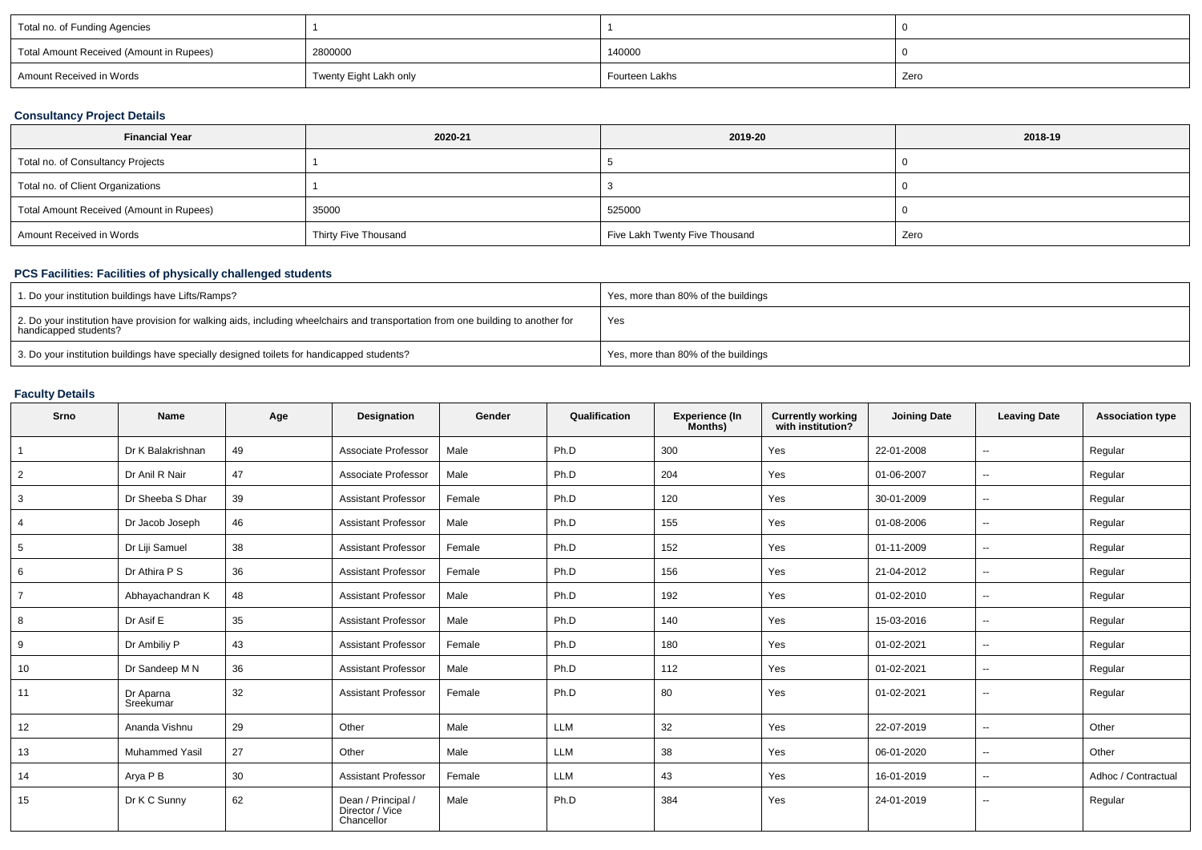| Total no. of Funding Agencies            |                        |                |      |
|------------------------------------------|------------------------|----------------|------|
| Total Amount Received (Amount in Rupees) | 2800000                | 140000         |      |
| Amount Received in Words                 | Twenty Eight Lakh only | Fourteen Lakhs | Zero |

# **Consultancy Project Details**

| <b>Financial Year</b>                    | 2020-21              | 2019-20                        | 2018-19 |
|------------------------------------------|----------------------|--------------------------------|---------|
| Total no. of Consultancy Projects        |                      |                                |         |
| Total no. of Client Organizations        |                      |                                |         |
| Total Amount Received (Amount in Rupees) | 35000                | 525000                         |         |
| Amount Received in Words                 | Thirty Five Thousand | Five Lakh Twenty Five Thousand | Zero    |

# **PCS Facilities: Facilities of physically challenged students**

| 1. Do your institution buildings have Lifts/Ramps?                                                                                                         | Yes, more than 80% of the buildings |
|------------------------------------------------------------------------------------------------------------------------------------------------------------|-------------------------------------|
| 2. Do your institution have provision for walking aids, including wheelchairs and transportation from one building to another for<br>handicapped students? | Yes                                 |
| 3. Do your institution buildings have specially designed toilets for handicapped students?                                                                 | Yes, more than 80% of the buildings |

# **Faculty Details**

| Srno            | <b>Name</b>            | Age | <b>Designation</b>                                  | Gender | Qualification | <b>Experience (In</b><br>Months) | <b>Currently working</b><br>with institution? | <b>Joining Date</b> | <b>Leaving Date</b> | <b>Association type</b> |
|-----------------|------------------------|-----|-----------------------------------------------------|--------|---------------|----------------------------------|-----------------------------------------------|---------------------|---------------------|-------------------------|
| $\overline{1}$  | Dr K Balakrishnan      | 49  | Associate Professor                                 | Male   | Ph.D          | 300                              | Yes                                           | 22-01-2008          | $\sim$              | Regular                 |
| $\overline{2}$  | Dr Anil R Nair         | 47  | Associate Professor                                 | Male   | Ph.D          | 204                              | Yes                                           | 01-06-2007          | $\sim$              | Regular                 |
| $\mathbf{3}$    | Dr Sheeba S Dhar       | 39  | <b>Assistant Professor</b>                          | Female | Ph.D          | 120                              | Yes                                           | 30-01-2009          | $\sim$              | Regular                 |
| $\overline{4}$  | Dr Jacob Joseph        | 46  | <b>Assistant Professor</b>                          | Male   | Ph.D          | 155                              | Yes                                           | 01-08-2006          | $\sim$              | Regular                 |
| $5\overline{)}$ | Dr Liji Samuel         | 38  | <b>Assistant Professor</b>                          | Female | Ph.D          | 152                              | Yes                                           | 01-11-2009          | $\sim$              | Regular                 |
| 6               | Dr Athira P S          | 36  | <b>Assistant Professor</b>                          | Female | Ph.D          | 156                              | Yes                                           | 21-04-2012          | $\sim$              | Regular                 |
| $\overline{7}$  | Abhayachandran K       | 48  | <b>Assistant Professor</b>                          | Male   | Ph.D          | 192                              | Yes                                           | 01-02-2010          | $\sim$              | Regular                 |
| 8               | Dr Asif E              | 35  | <b>Assistant Professor</b>                          | Male   | Ph.D          | 140                              | Yes                                           | 15-03-2016          | $\sim$              | Regular                 |
| 9               | Dr Ambiliy P           | 43  | <b>Assistant Professor</b>                          | Female | Ph.D          | 180                              | Yes                                           | 01-02-2021          | $\sim$              | Regular                 |
| 10              | Dr Sandeep M N         | 36  | <b>Assistant Professor</b>                          | Male   | Ph.D          | 112                              | Yes                                           | 01-02-2021          | $\sim$              | Regular                 |
| 11              | Dr Aparna<br>Sreekumar | 32  | <b>Assistant Professor</b>                          | Female | Ph.D          | 80                               | Yes                                           | 01-02-2021          | $\sim$              | Regular                 |
| 12              | Ananda Vishnu          | 29  | Other                                               | Male   | LLM           | 32                               | Yes                                           | 22-07-2019          | $\sim$              | Other                   |
| 13              | <b>Muhammed Yasil</b>  | 27  | Other                                               | Male   | LLM           | 38                               | Yes                                           | 06-01-2020          | $\sim$ $-$          | Other                   |
| 14              | Arya P B               | 30  | <b>Assistant Professor</b>                          | Female | LLM           | 43                               | Yes                                           | 16-01-2019          | $\sim$              | Adhoc / Contractual     |
| 15              | Dr K C Sunny           | 62  | Dean / Principal /<br>Director / Vice<br>Chancellor | Male   | Ph.D          | 384                              | Yes                                           | 24-01-2019          | $\sim$              | Regular                 |